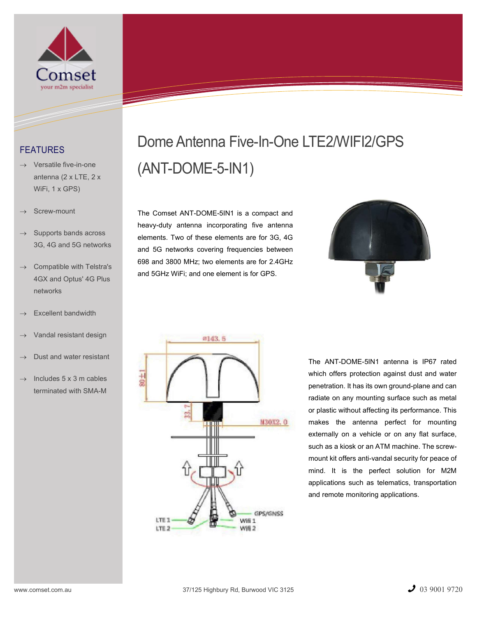

## FEATURES

- Versatile five-in-one antenna (2 x LTE, 2 x WiFi, 1 x GPS)
- Screw-mount
- $\rightarrow$  Supports bands across 3G, 4G and 5G networks
- Compatible with Telstra's 4GX and Optus' 4G Plus networks
- Excellent bandwidth
- Vandal resistant design
- Dust and water resistant
- Includes 5 x 3 m cables terminated with SMA-M

## Dome Antenna Five-In-One LTE2/WIFI2/GPS (ANT-DOME-5-IN1)

The Comset ANT-DOME-5IN1 is a compact and heavy-duty antenna incorporating five antenna elements. Two of these elements are for 3G, 4G and 5G networks covering frequencies between 698 and 3800 MHz; two elements are for 2.4GHz and 5GHz WiFi; and one element is for GPS.





The ANT-DOME-5IN1 antenna is IP67 rated which offers protection against dust and water penetration. It has its own ground-plane and can radiate on any mounting surface such as metal or plastic without affecting its performance. This makes the antenna perfect for mounting externally on a vehicle or on any flat surface, such as a kiosk or an ATM machine. The screwmount kit offers anti-vandal security for peace of mind. It is the perfect solution for M2M applications such as telematics, transportation and remote monitoring applications.